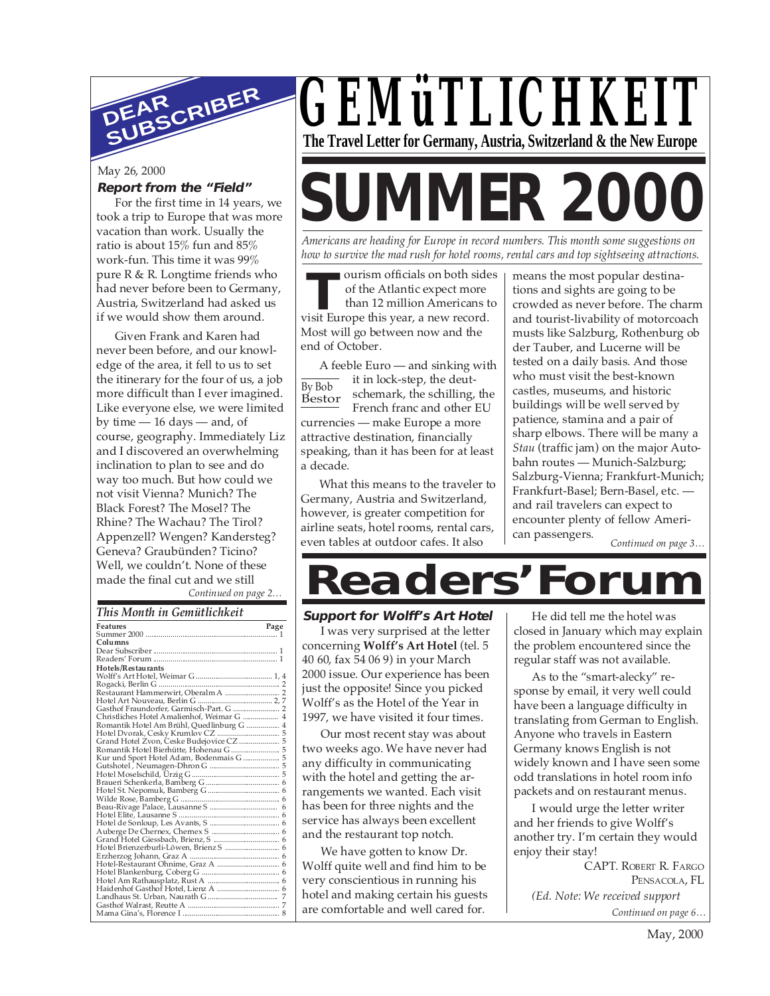

#### May 26, 2000

#### **Report from the "Field"**

For the first time in 14 years, we took a trip to Europe that was more vacation than work. Usually the ratio is about 15% fun and 85% work-fun. This time it was 99% pure R & R. Longtime friends who had never before been to Germany, Austria, Switzerland had asked us if we would show them around.

*Continued on page 2…* Given Frank and Karen had never been before, and our knowledge of the area, it fell to us to set the itinerary for the four of us, a job more difficult than I ever imagined. Like everyone else, we were limited by time — 16 days — and, of course, geography. Immediately Liz and I discovered an overwhelming inclination to plan to see and do way too much. But how could we not visit Vienna? Munich? The Black Forest? The Mosel? The Rhine? The Wachau? The Tirol? Appenzell? Wengen? Kandersteg? Geneva? Graubünden? Ticino? Well, we couldn't. None of these made the final cut and we still

*This Month in Gemütlichkeit*

| This influent in Althentian.               |
|--------------------------------------------|
| <b>Features</b><br>Page                    |
|                                            |
| Columns                                    |
|                                            |
|                                            |
| Hotels/Restaurants                         |
|                                            |
|                                            |
|                                            |
|                                            |
|                                            |
| Christliches Hotel Amalienhof, Weimar G  4 |
| Romantik Hotel Am Brühl, Quedlinburg G  4  |
|                                            |
|                                            |
| Romantik Hotel Bierhütte, Hohenau G  5     |
|                                            |
|                                            |
|                                            |
|                                            |
|                                            |
|                                            |
|                                            |
|                                            |
|                                            |
|                                            |
|                                            |
| Hotel Brienzerburli-Löwen, Brienz S  6     |
|                                            |
|                                            |
|                                            |
|                                            |
|                                            |
|                                            |
|                                            |
|                                            |

*GEMüTLICHKEIT* **The Travel Letter for Germany, Austria, Switzerland & the New Europe**

# **SUMMER 2000**

*Americans are heading for Europe in record numbers. This month some suggestions on how to survive the mad rush for hotel rooms, rental cars and top sightseeing attractions.*

Frame ourism officials on both side<br>
of the Atlantic expect more<br>
than 12 million Americans t<br>
visit Europe this year, a new record. ourism officials on both sides of the Atlantic expect more than 12 million Americans to Most will go between now and the end of October.

By Bob Bestor A feeble Euro — and sinking with it in lock-step, the deutschemark, the schilling, the French franc and other EU currencies — make Europe a more attractive destination, financially speaking, than it has been for at least a decade.

What this means to the traveler to Germany, Austria and Switzerland, however, is greater competition for airline seats, hotel rooms, rental cars, even tables at outdoor cafes. It also

means the most popular destinations and sights are going to be crowded as never before. The charm and tourist-livability of motorcoach musts like Salzburg, Rothenburg ob der Tauber, and Lucerne will be tested on a daily basis. And those who must visit the best-known castles, museums, and historic buildings will be well served by patience, stamina and a pair of sharp elbows. There will be many a *Stau* (traffic jam) on the major Autobahn routes — Munich-Salzburg; Salzburg-Vienna; Frankfurt-Munich; Frankfurt-Basel; Bern-Basel, etc. and rail travelers can expect to encounter plenty of fellow American passengers.

*Continued on page 3…*

## **Readers'Forum**

**Support for Wolff's Art Hotel**

I was very surprised at the letter concerning **Wolff's Art Hotel** (tel. 5 40 60, fax 54 06 9) in your March 2000 issue. Our experience has been just the opposite! Since you picked Wolff's as the Hotel of the Year in 1997, we have visited it four times.

Our most recent stay was about two weeks ago. We have never had any difficulty in communicating with the hotel and getting the arrangements we wanted. Each visit has been for three nights and the service has always been excellent and the restaurant top notch.

We have gotten to know Dr. Wolff quite well and find him to be very conscientious in running his hotel and making certain his guests are comfortable and well cared for.

He did tell me the hotel was closed in January which may explain the problem encountered since the regular staff was not available.

As to the "smart-alecky" response by email, it very well could have been a language difficulty in translating from German to English. Anyone who travels in Eastern Germany knows English is not widely known and I have seen some odd translations in hotel room info packets and on restaurant menus.

I would urge the letter writer and her friends to give Wolff's another try. I'm certain they would enjoy their stay!

> CAPT. ROBERT R. FARGO PENSACOLA, FL

*Continued on page 6… (Ed. Note: We received support*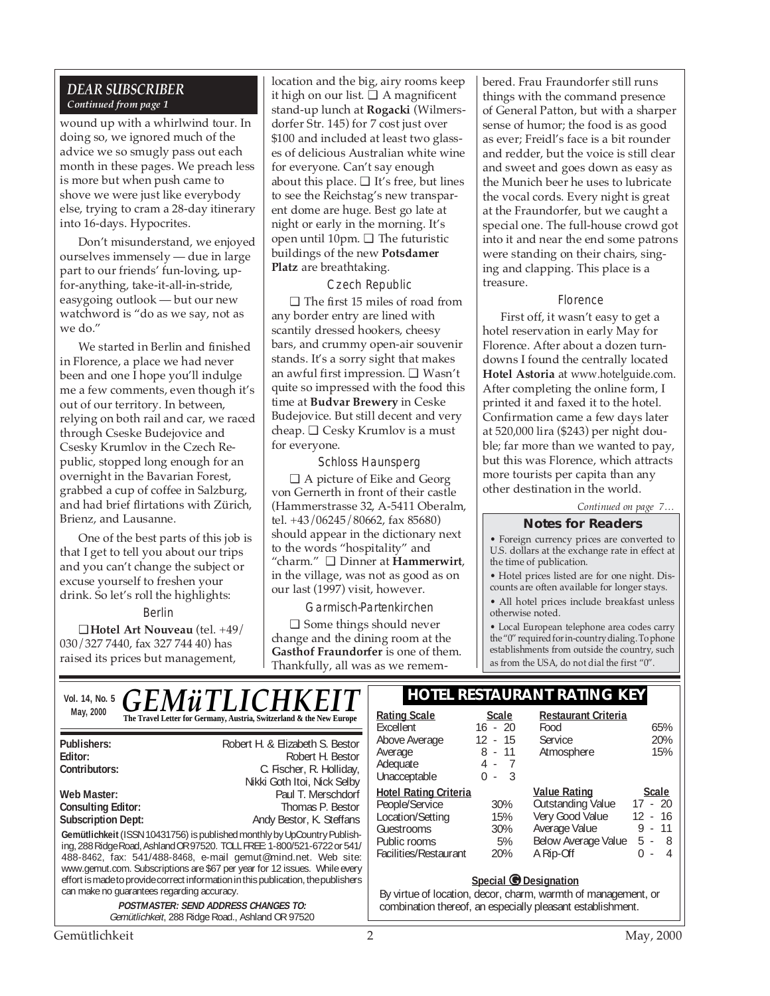#### *DEAR SUBSCRIBER Continued from page 1*

wound up with a whirlwind tour. In doing so, we ignored much of the advice we so smugly pass out each month in these pages. We preach less is more but when push came to shove we were just like everybody else, trying to cram a 28-day itinerary into 16-days. Hypocrites.

Don't misunderstand, we enjoyed ourselves immensely — due in large part to our friends' fun-loving, upfor-anything, take-it-all-in-stride, easygoing outlook — but our new watchword is "do as we say, not as we do."

We started in Berlin and finished in Florence, a place we had never been and one I hope you'll indulge me a few comments, even though it's out of our territory. In between, relying on both rail and car, we raced through Cseske Budejovice and Csesky Krumlov in the Czech Republic, stopped long enough for an overnight in the Bavarian Forest, grabbed a cup of coffee in Salzburg, and had brief flirtations with Zürich, Brienz, and Lausanne.

One of the best parts of this job is that I get to tell you about our trips and you can't change the subject or excuse yourself to freshen your drink. So let's roll the highlights:

Berlin

❑ **Hotel Art Nouveau** (tel. +49/ 030/327 7440, fax 327 744 40) has raised its prices but management,

location and the big, airy rooms keep it high on our list.  $\Box$  A magnificent stand-up lunch at **Rogacki** (Wilmersdorfer Str. 145) for 7 cost just over \$100 and included at least two glasses of delicious Australian white wine for everyone. Can't say enough about this place.  $\Box$  It's free, but lines to see the Reichstag's new transparent dome are huge. Best go late at night or early in the morning. It's open until 10pm. ❑ The futuristic buildings of the new **Potsdamer Platz** are breathtaking.

Czech Republic

❑ The first 15 miles of road from any border entry are lined with scantily dressed hookers, cheesy bars, and crummy open-air souvenir stands. It's a sorry sight that makes an awful first impression. ❑ Wasn't quite so impressed with the food this time at **Budvar Brewery** in Ceske Budejovice. But still decent and very cheap. ❑ Cesky Krumlov is a must for everyone.

#### Schloss Haunsperg

❑ A picture of Eike and Georg von Gernerth in front of their castle (Hammerstrasse 32, A-5411 Oberalm, tel. +43/06245/80662, fax 85680) should appear in the dictionary next to the words "hospitality" and "charm." ❑ Dinner at **Hammerwirt**, in the village, was not as good as on our last (1997) visit, however.

Garmisch-Partenkirchen

❑ Some things should never change and the dining room at the **Gasthof Fraundorfer** is one of them. Thankfully, all was as we remembered. Frau Fraundorfer still runs things with the command presence of General Patton, but with a sharper sense of humor; the food is as good as ever; Freidl's face is a bit rounder and redder, but the voice is still clear and sweet and goes down as easy as the Munich beer he uses to lubricate the vocal cords. Every night is great at the Fraundorfer, but we caught a special one. The full-house crowd got into it and near the end some patrons were standing on their chairs, singing and clapping. This place is a treasure.

#### Florence

First off, it wasn't easy to get a hotel reservation in early May for Florence. After about a dozen turndowns I found the centrally located **Hotel Astoria** at www.hotelguide.com. After completing the online form, I printed it and faxed it to the hotel. Confirmation came a few days later at 520,000 lira (\$243) per night double; far more than we wanted to pay, but this was Florence, which attracts more tourists per capita than any other destination in the world.

*Continued on page 7…*

#### **Notes for Readers**

• Foreign currency prices are converted to U.S. dollars at the exchange rate in effect at the time of publication.

• Hotel prices listed are for one night. Discounts are often available for longer stays.

• All hotel prices include breakfast unless otherwise noted.

• Local European telephone area codes carry the "0" required for in-country dialing. To phone establishments from outside the country, such as from the USA, do not dial the first "0".

Atmosphere

**Outstanding Value** 

Average Value

Food 65%<br>Service 20% Service 20%<br>Atmosphere 15%

**Value Rating Scale**

Very Good Value 12 - 16<br>Average Value 9 - 11

Below Average Value 5 - 8 A Rip-Off 0 - 4

Vol. 14, No. 5 **GEMÜTLICHKEIT** FIOTEL RESTAURANT RATING KEY May, 2000 **Ration Contained Burns and Scale** Scale **Scale** Scale **Scale** Scale **Rating Scale** Scale GE*NIUTLI* 

|                                                                                                                                                                                                                       | Excellent                                                          | $16 - 20$                                                          |                       |
|-----------------------------------------------------------------------------------------------------------------------------------------------------------------------------------------------------------------------|--------------------------------------------------------------------|--------------------------------------------------------------------|-----------------------|
| Publishers:<br>Editor:                                                                                                                                                                                                | Robert H. & Elizabeth S. Bestor<br>Robert H. Bestor                | Above Average<br>Average                                           | $12 - 15$<br>$8 - 11$ |
| Contributors:                                                                                                                                                                                                         | C. Fischer, R. Holliday,<br>Nikki Goth Itoi, Nick Selby            | Adequate<br>Unacceptable                                           | $4 - 7$<br>$-3$<br>0  |
| Web Master:<br><b>Consulting Editor:</b><br><b>Subscription Dept:</b>                                                                                                                                                 | Paul T. Merschdorf<br>Thomas P. Bestor<br>Andy Bestor, K. Steffans | <b>Hotel Rating Criteria</b><br>People/Service<br>Location/Setting | $30\%$<br>15%         |
| Gemütlichkeit (ISSN 10431756) is published monthly by UpCountry Publish-<br>ing, 288 Ridge Road, Ashland OR 97520. TOLL FREE: 1-800/521-6722 or 541/<br>488-8462, fax: 541/488-8468, e-mail gemut@mind.net. Web site: | Guestrooms<br>Public rooms<br>Facilities/Restaurant                | 30%<br>5%<br>20%                                                   |                       |
| www.gemut.com. Subscriptions are \$67 per year for 12 issues. While every<br>effort is made to provide correct information in this publication, the publishers<br>can make no quarantees regarding accuracy.          |                                                                    | Special C<br>By virtue of location, decor, ch                      |                       |
| <b>POSTMASTER: SEND ADDRESS CHANGES TO:</b><br>Gemütlichkeit, 288 Ridge Road., Ashland OR 97520                                                                                                                       | combination thereof, an especi                                     |                                                                    |                       |

### **Restaurant Criteria**

| By virtue of location, decor, charm, warmth of management, or |  |  |  |
|---------------------------------------------------------------|--|--|--|
| combination thereof, an especially pleasant establishment.    |  |  |  |

**Special @ Designation** 

Gemütlichkeit 2 May, 2000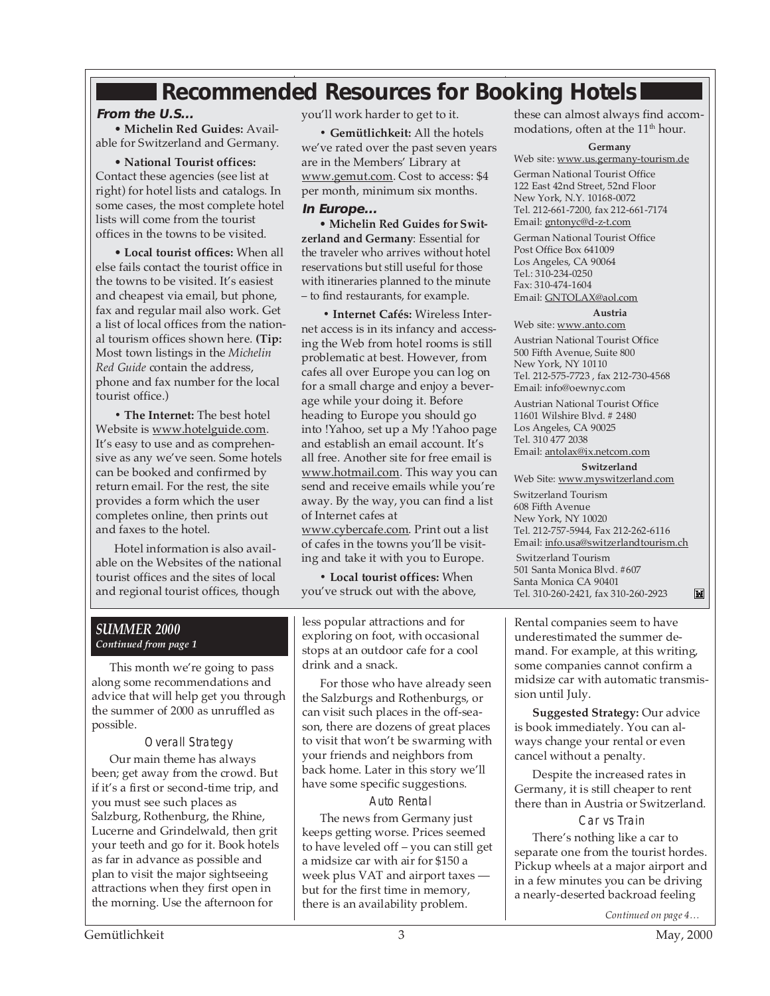## **Recommended Resources for Booking Hotels**

#### **From the U.S...**

• **Michelin Red Guides:** Available for Switzerland and Germany.

• **National Tourist offices:** Contact these agencies (see list at right) for hotel lists and catalogs. In some cases, the most complete hotel lists will come from the tourist offices in the towns to be visited.

• **Local tourist offices:** When all else fails contact the tourist office in the towns to be visited. It's easiest and cheapest via email, but phone, fax and regular mail also work. Get a list of local offices from the national tourism offices shown here. **(Tip:** Most town listings in the *Michelin Red Guide* contain the address, phone and fax number for the local tourist office.)

**• The Internet:** The best hotel Website is www.hotelguide.com. It's easy to use and as comprehensive as any we've seen. Some hotels can be booked and confirmed by return email. For the rest, the site provides a form which the user completes online, then prints out and faxes to the hotel.

Hotel information is also available on the Websites of the national tourist offices and the sites of local and regional tourist offices, though

you'll work harder to get to it.

**• Gemütlichkeit:** All the hotels we've rated over the past seven years are in the Members' Library at www.gemut.com. Cost to access: \$4 per month, minimum six months.

#### **In Europe...**

• **Michelin Red Guides for Switzerland and Germany**: Essential for the traveler who arrives without hotel reservations but still useful for those with itineraries planned to the minute – to find restaurants, for example.

**• Internet Cafés:** Wireless Internet access is in its infancy and accessing the Web from hotel rooms is still problematic at best. However, from cafes all over Europe you can log on for a small charge and enjoy a beverage while your doing it. Before heading to Europe you should go into !Yahoo, set up a My !Yahoo page and establish an email account. It's all free. Another site for free email is www.hotmail.com. This way you can send and receive emails while you're away. By the way, you can find a list of Internet cafes at

www.cybercafe.com. Print out a list of cafes in the towns you'll be visiting and take it with you to Europe.

**• Local tourist offices:** When you've struck out with the above,

*SUMMER 2000 Continued from page 1*

This month we're going to pass along some recommendations and advice that will help get you through the summer of 2000 as unruffled as possible.

Overall Strategy Our main theme has always been; get away from the crowd. But if it's a first or second-time trip, and you must see such places as Salzburg, Rothenburg, the Rhine, Lucerne and Grindelwald, then grit your teeth and go for it. Book hotels as far in advance as possible and plan to visit the major sightseeing attractions when they first open in the morning. Use the afternoon for

less popular attractions and for exploring on foot, with occasional stops at an outdoor cafe for a cool drink and a snack.

For those who have already seen the Salzburgs and Rothenburgs, or can visit such places in the off-season, there are dozens of great places to visit that won't be swarming with your friends and neighbors from back home. Later in this story we'll have some specific suggestions.

Auto Rental

The news from Germany just keeps getting worse. Prices seemed to have leveled off – you can still get a midsize car with air for \$150 a week plus VAT and airport taxes but for the first time in memory, there is an availability problem.

these can almost always find accommodations, often at the 11<sup>th</sup> hour.

#### **Germany**

Web site: www.us.germany-tourism.de German National Tourist Office 122 East 42nd Street, 52nd Floor New York, N.Y. 10168-0072 Tel. 212-661-7200, fax 212-661-7174 Email: gntonyc@d-z-t.com

German National Tourist Office Post Office Box 641009 Los Angeles, CA 90064 Tel.: 310-234-0250 Fax: 310-474-1604 Email: GNTOLAX@aol.com

#### **Austria**

Web site: www.anto.com Austrian National Tourist Office 500 Fifth Avenue, Suite 800 New York, NY 10110 Tel. 212-575-7723 , fax 212-730-4568 Email: info@oewnyc.com

Austrian National Tourist Office 11601 Wilshire Blvd. # 2480 Los Angeles, CA 90025 Tel. 310 477 2038 Email: antolax@ix.netcom.com

#### **Switzerland**

Web Site: www.myswitzerland.com Switzerland Tourism 608 Fifth Avenue New York, NY 10020 Tel. 212-757-5944, Fax 212-262-6116 Email: info.usa@switzerlandtourism.ch Switzerland Tourism 501 Santa Monica Blvd. #607 Santa Monica CA 90401 Tel. 310-260-2421, fax 310-260-2923

Rental companies seem to have underestimated the summer demand. For example, at this writing, some companies cannot confirm a midsize car with automatic transmission until July.

**Suggested Strategy:** Our advice is book immediately. You can always change your rental or even cancel without a penalty.

Despite the increased rates in Germany, it is still cheaper to rent there than in Austria or Switzerland.

#### Car vs Train

There's nothing like a car to separate one from the tourist hordes. Pickup wheels at a major airport and in a few minutes you can be driving a nearly-deserted backroad feeling

*Continued on page 4…*

 $\mathbf{M}$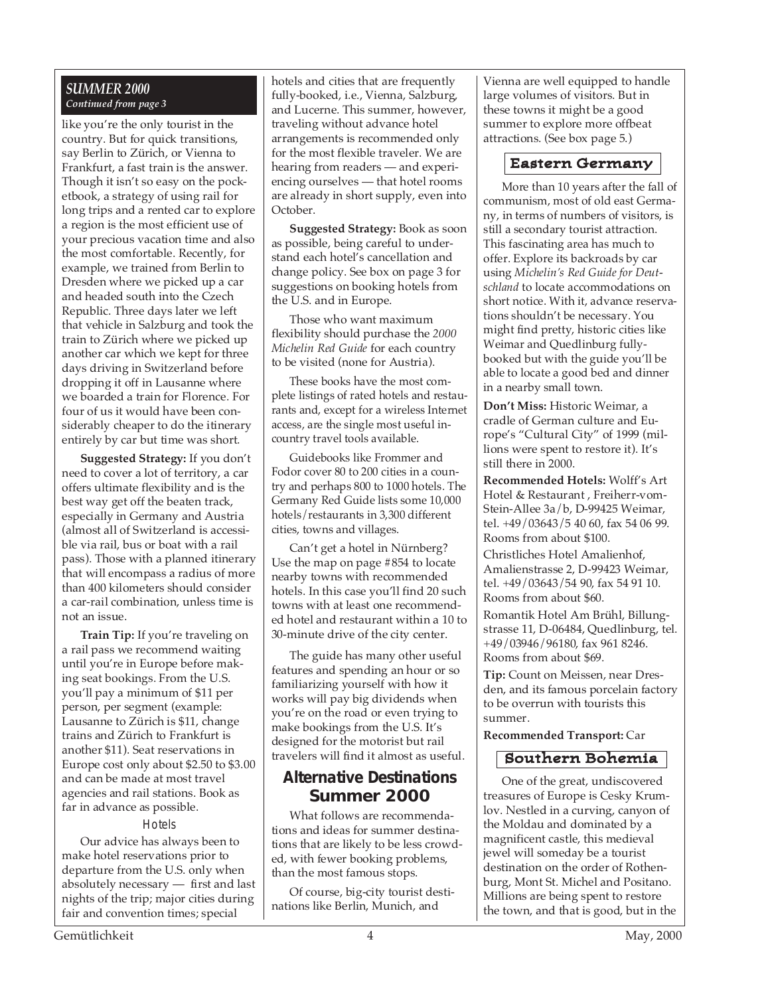#### *SUMMER 2000 Continued from page 3*

like you're the only tourist in the country. But for quick transitions, say Berlin to Zürich, or Vienna to Frankfurt, a fast train is the answer. Though it isn't so easy on the pocketbook, a strategy of using rail for long trips and a rented car to explore a region is the most efficient use of your precious vacation time and also the most comfortable. Recently, for example, we trained from Berlin to Dresden where we picked up a car and headed south into the Czech Republic. Three days later we left that vehicle in Salzburg and took the train to Zürich where we picked up another car which we kept for three days driving in Switzerland before dropping it off in Lausanne where we boarded a train for Florence. For four of us it would have been considerably cheaper to do the itinerary entirely by car but time was short.

**Suggested Strategy:** If you don't need to cover a lot of territory, a car offers ultimate flexibility and is the best way get off the beaten track, especially in Germany and Austria (almost all of Switzerland is accessible via rail, bus or boat with a rail pass). Those with a planned itinerary that will encompass a radius of more than 400 kilometers should consider a car-rail combination, unless time is not an issue.

**Train Tip:** If you're traveling on a rail pass we recommend waiting until you're in Europe before making seat bookings. From the U.S. you'll pay a minimum of \$11 per person, per segment (example: Lausanne to Zürich is \$11, change trains and Zürich to Frankfurt is another \$11). Seat reservations in Europe cost only about \$2.50 to \$3.00 and can be made at most travel agencies and rail stations. Book as far in advance as possible.

#### **Hotels**

Our advice has always been to make hotel reservations prior to departure from the U.S. only when absolutely necessary — first and last nights of the trip; major cities during fair and convention times; special

fully-booked, i.e., Vienna, Salzburg, hotels and cities that are frequently and Lucerne. This summer, however, traveling without advance hotel arrangements is recommended only for the most flexible traveler. We are hearing from readers — and experiencing ourselves — that hotel rooms are already in short supply, even into October.

**Suggested Strategy:** Book as soon as possible, being careful to understand each hotel's cancellation and change policy. See box on page 3 for suggestions on booking hotels from the U.S. and in Europe.

Those who want maximum flexibility should purchase the *2000 Michelin Red Guide* for each country to be visited (none for Austria).

These books have the most complete listings of rated hotels and restaurants and, except for a wireless Internet access, are the single most useful incountry travel tools available.

Guidebooks like Frommer and Fodor cover 80 to 200 cities in a country and perhaps 800 to 1000 hotels. The Germany Red Guide lists some 10,000 hotels/restaurants in 3,300 different cities, towns and villages.

Can't get a hotel in Nürnberg? Use the map on page #854 to locate nearby towns with recommended hotels. In this case you'll find 20 such towns with at least one recommended hotel and restaurant within a 10 to 30-minute drive of the city center.

The guide has many other useful features and spending an hour or so familiarizing yourself with how it works will pay big dividends when you're on the road or even trying to make bookings from the U.S. It's designed for the motorist but rail travelers will find it almost as useful.

#### **Alternative Destinations Summer 2000**

What follows are recommendations and ideas for summer destinations that are likely to be less crowded, with fewer booking problems, than the most famous stops.

Of course, big-city tourist destinations like Berlin, Munich, and

Vienna are well equipped to handle large volumes of visitors. But in these towns it might be a good summer to explore more offbeat attractions. (See box page 5.)

#### Eastern Germany

More than 10 years after the fall of communism, most of old east Germany, in terms of numbers of visitors, is still a secondary tourist attraction. This fascinating area has much to offer. Explore its backroads by car using *Michelin's Red Guide for Deutschland* to locate accommodations on short notice. With it, advance reservations shouldn't be necessary. You might find pretty, historic cities like Weimar and Quedlinburg fullybooked but with the guide you'll be able to locate a good bed and dinner in a nearby small town.

**Don't Miss:** Historic Weimar, a cradle of German culture and Europe's "Cultural City" of 1999 (millions were spent to restore it). It's still there in 2000.

**Recommended Hotels:** Wolff's Art Hotel & Restaurant , Freiherr-vom-Stein-Allee 3a/b, D-99425 Weimar, tel. +49/03643/5 40 60, fax 54 06 99. Rooms from about \$100.

Christliches Hotel Amalienhof, Amalienstrasse 2, D-99423 Weimar, tel. +49/03643/54 90, fax 54 91 10. Rooms from about \$60.

Romantik Hotel Am Brühl, Billungstrasse 11, D-06484, Quedlinburg, tel. +49/03946/96180, fax 961 8246. Rooms from about \$69.

**Tip:** Count on Meissen, near Dresden, and its famous porcelain factory to be overrun with tourists this summer.

#### **Recommended Transport:** Car

#### Southern Bohemia

One of the great, undiscovered treasures of Europe is Cesky Krumlov. Nestled in a curving, canyon of the Moldau and dominated by a magnificent castle, this medieval jewel will someday be a tourist destination on the order of Rothenburg, Mont St. Michel and Positano. Millions are being spent to restore the town, and that is good, but in the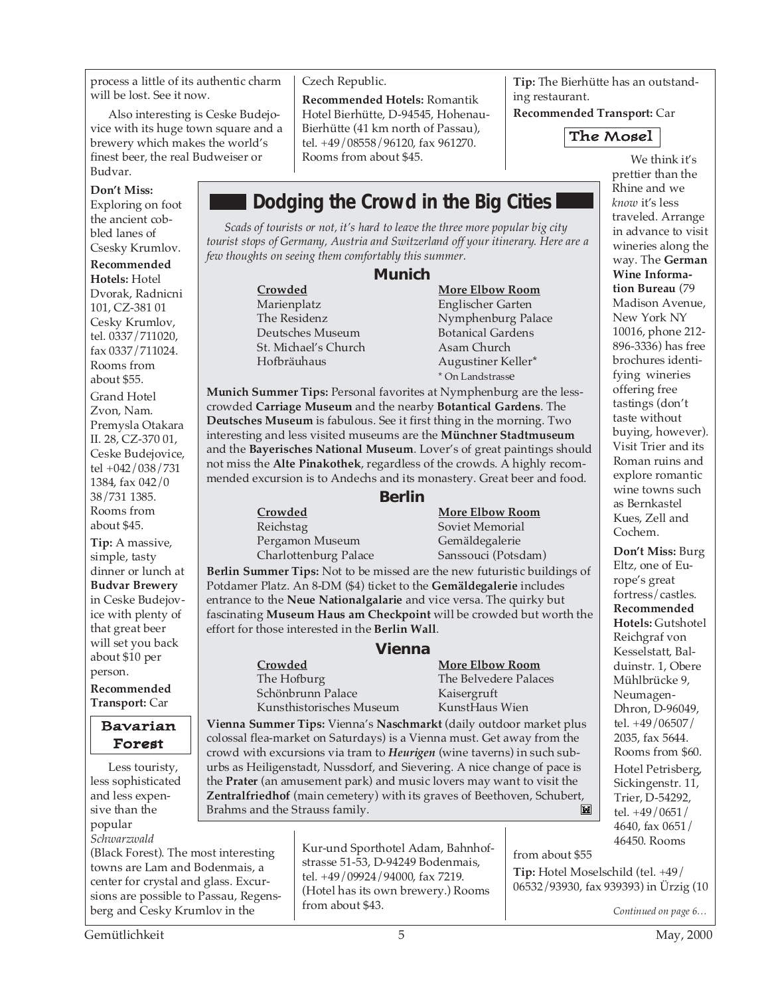process a little of its authentic charm will be lost. See it now.

Also interesting is Ceske Budejovice with its huge town square and a brewery which makes the world's finest beer, the real Budweiser or Budvar.

**Don't Miss:**

Exploring on foot the ancient cobbled lanes of

Csesky Krumlov. **Recommended Hotels:** Hotel Dvorak, Radnicni 101, CZ-381 01 Cesky Krumlov, tel. 0337/711020, fax 0337/711024.

Rooms from about \$55. Grand Hotel Zvon, Nam. Premysla Otakara II. 28, CZ-370 01, Ceske Budejovice, tel +042/038/731 1384, fax 042/0 38/731 1385. Rooms from about \$45.

**Tip:** A massive, simple, tasty dinner or lunch at **Budvar Brewery** in Ceske Budejovice with plenty of that great beer will set you back about \$10 per person. **Recommended**

**Transport:** Car

#### Bavarian Forest

Less touristy, less sophisticated and less expensive than the popular *Schwarzwald*

(Black Forest). The most interesting towns are Lam and Bodenmais, a center for crystal and glass. Excursions are possible to Passau, Regensberg and Cesky Krumlov in the

#### Czech Republic.

**Recommended Hotels:** Romantik Hotel Bierhütte, D-94545, Hohenau-Bierhütte (41 km north of Passau), tel. +49/08558/96120, fax 961270. Rooms from about \$45.

**Tip:** The Bierhütte has an outstanding restaurant.

**Recommended Transport:** Car



**Dodging the Crowd in the Big Cities** *Scads of tourists or not, it's hard to leave the three more popular big city tourist stops of Germany, Austria and Switzerland off your itinerary. Here are a few thoughts on seeing them comfortably this summer.* **Munich Crowded More Elbow Room** Englischer Garten

The Residenz **Nymphenburg Palace**<br> **The Residenzial Contract Parage According Palace**<br> **Botanical Gardens** Botanical Gardens<br>Asam Church Hofbräuhaus Augustiner Keller\* \* On Landstrasse

**Munich Summer Tips:** Personal favorites at Nymphenburg are the lesscrowded **Carriage Museum** and the nearby **Botantical Gardens**. The **Deutsches Museum** is fabulous. See it first thing in the morning. Two interesting and less visited museums are the **Münchner Stadtmuseum** and the **Bayerisches National Museum**. Lover's of great paintings should not miss the **Alte Pinakothek**, regardless of the crowds. A highly recommended excursion is to Andechs and its monastery. Great beer and food.

#### **Berlin**

Reichstag Soviet Memorial Pergamon Museum Gemäldegalerie

St. Michael's Church

**Crowded More Elbow Room** Charlottenburg Palace Sanssouci (Potsdam)

**Berlin Summer Tips:** Not to be missed are the new futuristic buildings of Potdamer Platz. An 8-DM (\$4) ticket to the **Gemäldegalerie** includes entrance to the **Neue Nationalgalarie** and vice versa. The quirky but fascinating **Museum Haus am Checkpoint** will be crowded but worth the effort for those interested in the **Berlin Wall**.

#### **Vienna**

**Crowded More Elbow Room**<br> **Crowded More Elbow Room**<br> **Crowded More Elbow Room** Schönbrunn Palace Kaisergruft Kunsthistorisches Museum KunstHaus Wien

## The Belvedere Palaces

**Vienna Summer Tips:** Vienna's **Naschmarkt** (daily outdoor market plus colossal flea-market on Saturdays) is a Vienna must. Get away from the crowd with excursions via tram to *Heurigen* (wine taverns) in such suburbs as Heiligenstadt, Nussdorf, and Sievering. A nice change of pace is the **Prater** (an amusement park) and music lovers may want to visit the **Zentralfriedhof** (main cemetery) with its graves of Beethoven, Schubert, Brahms and the Strauss family.M

> Kur-und Sporthotel Adam, Bahnhofstrasse 51-53, D-94249 Bodenmais, tel. +49/09924/94000, fax 7219. (Hotel has its own brewery.) Rooms from about \$43.

We think it's prettier than the Rhine and we *know* it's less traveled. Arrange in advance to visit wineries along the way. The **German Wine Information Bureau** (79 Madison Avenue, New York NY 10016, phone 212- 896-3336) has free brochures identifying wineries offering free tastings (don't taste without buying, however). Visit Trier and its Roman ruins and explore romantic wine towns such as Bernkastel Kues, Zell and Cochem.

**Don't Miss:** Burg Eltz, one of Europe's great fortress/castles. **Recommended Hotels:** Gutshotel Reichgraf von Kesselstatt, Balduinstr. 1, Obere Mühlbrücke 9, Neumagen-Dhron, D-96049, tel. +49/06507/ 2035, fax 5644. Rooms from \$60. Hotel Petrisberg, Sickingenstr. 11, Trier, D-54292, tel. +49/0651/ 4640, fax 0651/ 46450. Rooms

**Tip:** Hotel Moselschild (tel. +49/ 06532/93930, fax 939393) in Ürzig (10

from about \$55

*Continued on page 6…*

Gemütlichkeit 5 May, 2000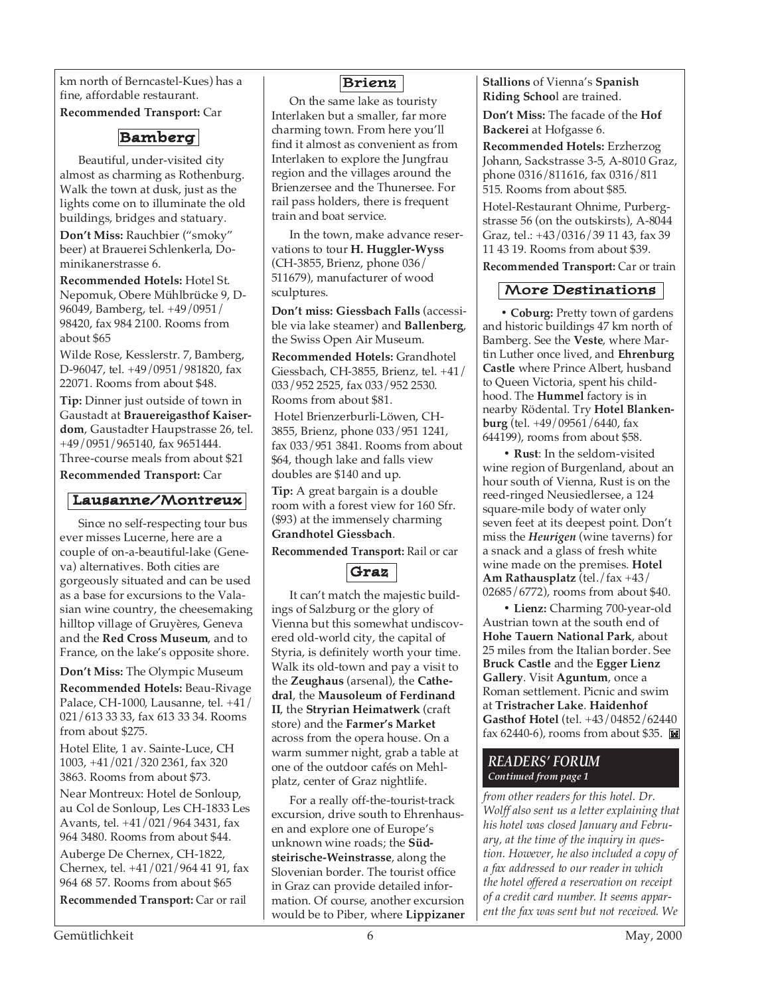km north of Berncastel-Kues) has a fine, affordable restaurant.

**Recommended Transport:** Car

### Bamberg

Beautiful, under-visited city almost as charming as Rothenburg. Walk the town at dusk, just as the lights come on to illuminate the old buildings, bridges and statuary.

**Don't Miss:** Rauchbier ("smoky" beer) at Brauerei Schlenkerla, Dominikanerstrasse 6.

**Recommended Hotels:** Hotel St. Nepomuk, Obere Mühlbrücke 9, D-96049, Bamberg, tel. +49/0951/ 98420, fax 984 2100. Rooms from about \$65

Wilde Rose, Kesslerstr. 7, Bamberg, D-96047, tel. +49/0951/981820, fax 22071. Rooms from about \$48.

**Tip:** Dinner just outside of town in Gaustadt at **Brauereigasthof Kaiserdom**, Gaustadter Haupstrasse 26, tel. +49/0951/965140, fax 9651444. Three-course meals from about \$21

**Recommended Transport:** Car

#### Lausanne/Montreux

Since no self-respecting tour bus ever misses Lucerne, here are a couple of on-a-beautiful-lake (Geneva) alternatives. Both cities are gorgeously situated and can be used as a base for excursions to the Valasian wine country, the cheesemaking hilltop village of Gruyères, Geneva and the **Red Cross Museum**, and to France, on the lake's opposite shore.

**Don't Miss:** The Olympic Museum **Recommended Hotels:** Beau-Rivage Palace, CH-1000, Lausanne, tel. +41/ 021/613 33 33, fax 613 33 34. Rooms from about \$275.

Hotel Elite, 1 av. Sainte-Luce, CH 1003, +41/021/320 2361, fax 320 3863. Rooms from about \$73.

Near Montreux: Hotel de Sonloup, au Col de Sonloup, Les CH-1833 Les Avants, tel. +41/021/964 3431, fax 964 3480. Rooms from about \$44.

Auberge De Chernex, CH-1822, Chernex, tel. +41/021/964 41 91, fax 964 68 57. Rooms from about \$65

**Recommended Transport:** Car or rail

#### Brienz

On the same lake as touristy Interlaken but a smaller, far more charming town. From here you'll find it almost as convenient as from Interlaken to explore the Jungfrau region and the villages around the Brienzersee and the Thunersee. For rail pass holders, there is frequent train and boat service.

In the town, make advance reservations to tour **H. Huggler-Wyss** (CH-3855, Brienz, phone 036/ 511679), manufacturer of wood sculptures.

**Don't miss: Giessbach Falls** (accessible via lake steamer) and **Ballenberg**, the Swiss Open Air Museum.

**Recommended Hotels:** Grandhotel Giessbach, CH-3855, Brienz, tel. +41/ 033/952 2525, fax 033/952 2530. Rooms from about \$81.

 Hotel Brienzerburli-Löwen, CH-3855, Brienz, phone 033/951 1241, fax 033/951 3841. Rooms from about \$64, though lake and falls view doubles are \$140 and up.

**Tip:** A great bargain is a double room with a forest view for 160 Sfr. (\$93) at the immensely charming **Grandhotel Giessbach**.

**Recommended Transport:** Rail or car



It can't match the majestic buildings of Salzburg or the glory of Vienna but this somewhat undiscovered old-world city, the capital of Styria, is definitely worth your time. Walk its old-town and pay a visit to the **Zeughaus** (arsenal), the **Cathedral**, the **Mausoleum of Ferdinand II**, the **Stryrian Heimatwerk** (craft store) and the **Farmer's Market** across from the opera house. On a warm summer night, grab a table at one of the outdoor cafés on Mehlplatz, center of Graz nightlife.

For a really off-the-tourist-track excursion, drive south to Ehrenhausen and explore one of Europe's unknown wine roads; the **Südsteirische-Weinstrasse**, along the Slovenian border. The tourist office in Graz can provide detailed information. Of course, another excursion would be to Piber, where **Lippizaner**

**Stallions** of Vienna's **Spanish Riding Schoo**l are trained.

**Don't Miss:** The facade of the **Hof Backerei** at Hofgasse 6.

**Recommended Hotels:** Erzherzog Johann, Sackstrasse 3-5, A-8010 Graz, phone 0316/811616, fax 0316/811 515. Rooms from about \$85.

Hotel-Restaurant Ohnime, Purbergstrasse 56 (on the outskirsts), A-8044 Graz, tel.: +43/0316/39 11 43, fax 39 11 43 19. Rooms from about \$39.

**Recommended Transport:** Car or train

#### More Destinations

**• Coburg:** Pretty town of gardens and historic buildings 47 km north of Bamberg. See the **Veste**, where Martin Luther once lived, and **Ehrenburg Castle** where Prince Albert, husband to Queen Victoria, spent his childhood. The **Hummel** factory is in nearby Rödental. Try **Hotel Blankenburg** (tel. +49/09561/6440, fax 644199), rooms from about \$58.

**• Rust**: In the seldom-visited wine region of Burgenland, about an hour south of Vienna, Rust is on the reed-ringed Neusiedlersee, a 124 square-mile body of water only seven feet at its deepest point. Don't miss the *Heurigen* (wine taverns) for a snack and a glass of fresh white wine made on the premises. **Hotel Am Rathausplatz** (tel./fax +43/ 02685/6772), rooms from about \$40.

 **• Lienz:** Charming 700-year-old Austrian town at the south end of **Hohe Tauern National Park**, about 25 miles from the Italian border. See **Bruck Castle** and the **Egger Lienz Gallery**. Visit **Aguntum**, once a Roman settlement. Picnic and swim at **Tristracher Lake**. **Haidenhof Gasthof Hotel** (tel. +43/04852/62440 fax 62440-6), rooms from about \$35.

#### *READERS' FORUM Continued from page 1*

*from other readers for this hotel. Dr. Wolff also sent us a letter explaining that his hotel was closed January and February, at the time of the inquiry in question. However, he also included a copy of a fax addressed to our reader in which the hotel offered a reservation on receipt of a credit card number. It seems apparent the fax was sent but not received. We*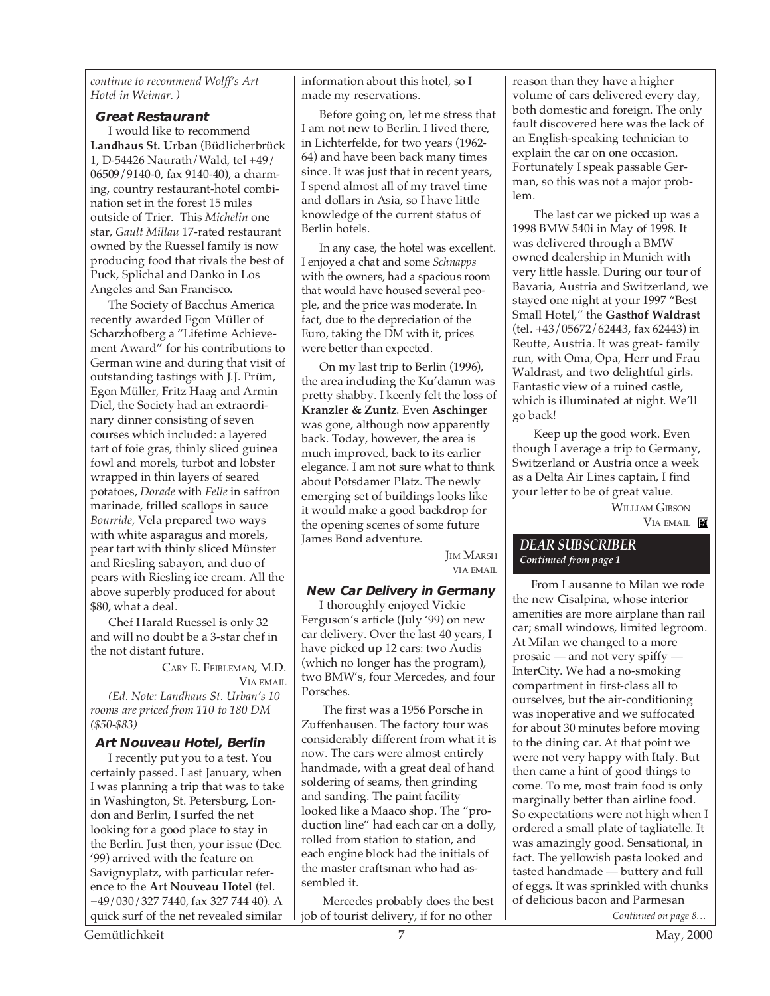*continue to recommend Wolff's Art Hotel in Weimar. )*

#### **Great Restaurant**

I would like to recommend **Landhaus St. Urban** (Büdlicherbrück 1, D-54426 Naurath/Wald, tel +49/ 06509/9140-0, fax 9140-40), a charming, country restaurant-hotel combination set in the forest 15 miles outside of Trier. This *Michelin* one star, *Gault Millau* 17-rated restaurant owned by the Ruessel family is now producing food that rivals the best of Puck, Splichal and Danko in Los Angeles and San Francisco.

The Society of Bacchus America recently awarded Egon Müller of Scharzhofberg a "Lifetime Achievement Award" for his contributions to German wine and during that visit of outstanding tastings with J.J. Prüm, Egon Müller, Fritz Haag and Armin Diel, the Society had an extraordinary dinner consisting of seven courses which included: a layered tart of foie gras, thinly sliced guinea fowl and morels, turbot and lobster wrapped in thin layers of seared potatoes, *Dorade* with *Felle* in saffron marinade, frilled scallops in sauce *Bourride*, Vela prepared two ways with white asparagus and morels, pear tart with thinly sliced Münster and Riesling sabayon, and duo of pears with Riesling ice cream. All the above superbly produced for about \$80, what a deal.

Chef Harald Ruessel is only 32 and will no doubt be a 3-star chef in the not distant future.

> CARY E. FEIBLEMAN, M.D. VIA EMAIL

*(Ed. Note: Landhaus St. Urban's 10 rooms are priced from 110 to 180 DM (\$50-\$83)*

#### **Art Nouveau Hotel, Berlin**

I recently put you to a test. You certainly passed. Last January, when I was planning a trip that was to take in Washington, St. Petersburg, London and Berlin, I surfed the net looking for a good place to stay in the Berlin. Just then, your issue (Dec. '99) arrived with the feature on Savignyplatz, with particular reference to the **Art Nouveau Hotel** (tel. +49/030/327 7440, fax 327 744 40). A quick surf of the net revealed similar

information about this hotel, so I made my reservations.

Before going on, let me stress that I am not new to Berlin. I lived there, in Lichterfelde, for two years (1962- 64) and have been back many times since. It was just that in recent years, I spend almost all of my travel time and dollars in Asia, so I have little knowledge of the current status of Berlin hotels.

In any case, the hotel was excellent. I enjoyed a chat and some *Schnapps* with the owners, had a spacious room that would have housed several people, and the price was moderate. In fact, due to the depreciation of the Euro, taking the DM with it, prices were better than expected.

On my last trip to Berlin (1996), the area including the Ku'damm was pretty shabby. I keenly felt the loss of **Kranzler & Zuntz**. Even **Aschinger** was gone, although now apparently back. Today, however, the area is much improved, back to its earlier elegance. I am not sure what to think about Potsdamer Platz. The newly emerging set of buildings looks like it would make a good backdrop for the opening scenes of some future James Bond adventure.

> **IM MARSH** VIA EMAIL

#### **New Car Delivery in Germany**

I thoroughly enjoyed Vickie Ferguson's article (July '99) on new car delivery. Over the last 40 years, I have picked up 12 cars: two Audis (which no longer has the program), two BMW's, four Mercedes, and four Porsches.

 The first was a 1956 Porsche in Zuffenhausen. The factory tour was considerably different from what it is now. The cars were almost entirely handmade, with a great deal of hand soldering of seams, then grinding and sanding. The paint facility looked like a Maaco shop. The "production line" had each car on a dolly, rolled from station to station, and each engine block had the initials of the master craftsman who had assembled it.

 Mercedes probably does the best job of tourist delivery, if for no other

reason than they have a higher volume of cars delivered every day, both domestic and foreign. The only fault discovered here was the lack of an English-speaking technician to explain the car on one occasion. Fortunately I speak passable German, so this was not a major problem.

 The last car we picked up was a 1998 BMW 540i in May of 1998. It was delivered through a BMW owned dealership in Munich with very little hassle. During our tour of Bavaria, Austria and Switzerland, we stayed one night at your 1997 "Best Small Hotel," the **Gasthof Waldrast** (tel. +43/05672/62443, fax 62443) in Reutte, Austria. It was great- family run, with Oma, Opa, Herr und Frau Waldrast, and two delightful girls. Fantastic view of a ruined castle, which is illuminated at night. We'll go back!

 Keep up the good work. Even though I average a trip to Germany, Switzerland or Austria once a week as a Delta Air Lines captain, I find your letter to be of great value. WILLIAM GIBSON

VIA EMAIL

#### *DEAR SUBSCRIBER Continued from page 1*

From Lausanne to Milan we rode the new Cisalpina, whose interior amenities are more airplane than rail car; small windows, limited legroom. At Milan we changed to a more prosaic — and not very spiffy — InterCity. We had a no-smoking compartment in first-class all to ourselves, but the air-conditioning was inoperative and we suffocated for about 30 minutes before moving to the dining car. At that point we were not very happy with Italy. But then came a hint of good things to come. To me, most train food is only marginally better than airline food. So expectations were not high when I ordered a small plate of tagliatelle. It was amazingly good. Sensational, in fact. The yellowish pasta looked and tasted handmade — buttery and full of eggs. It was sprinkled with chunks of delicious bacon and Parmesan

*Continued on page 8…*